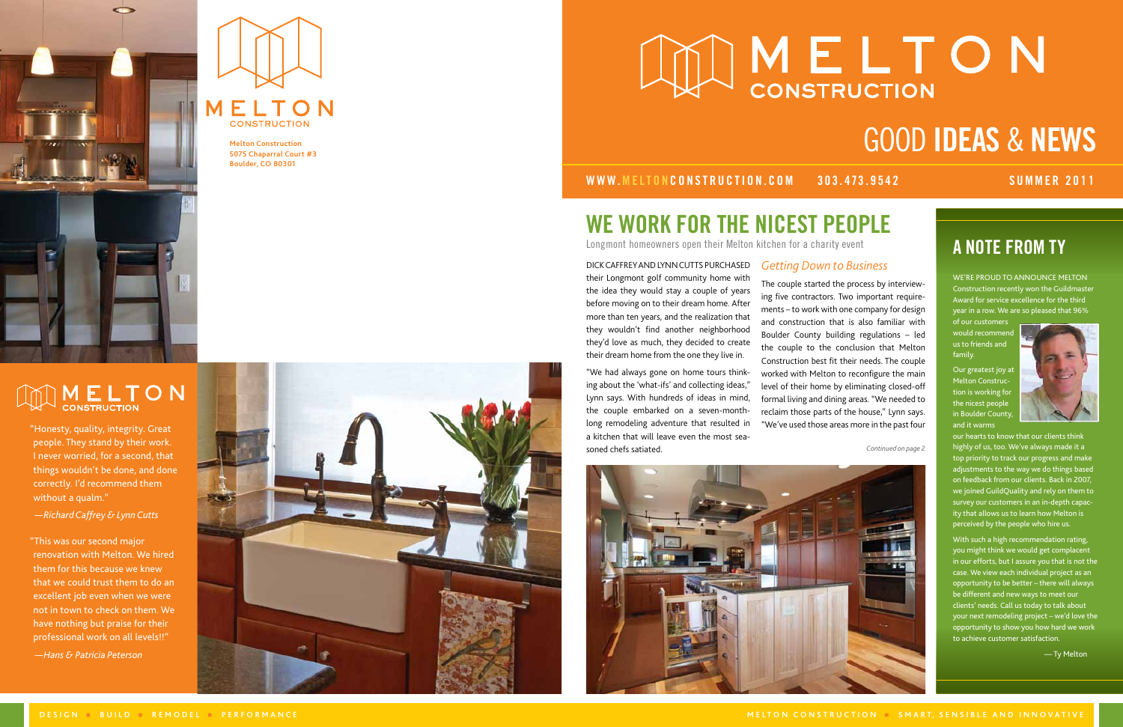



**Melton Construction 5075 Chaparral Court #3 Boulder, CO 80301**

# **AND MELTON**

their Longmont golf community home with the idea they would stay a couple of years before moving on to their dream home. After more than ten years, and the realization that they wouldn't find another neighborhood they'd love as much, they decided to create their dream home from the one they live in. WE WORK FO<br>
Longmont homeowners oper<br>
DICK CAFFREY AND LYNN CUTT<br>
their Longmont golf communi<br>
the idea they would stay a cc<br>
before moving on to their drear<br>
more than ten years, and the rear<br>
they wouldn't find another<br>

WWW.melton construction.com 303.473.9542 SUMMER 2011

## THE NICEST PEOPL

### DICK CAFFREY AND LYNN CUTTS PURCHASED

"We had always gone on home tours think ing about the 'what-ifs' and collecting ideas," Lynn says. With hundreds of ideas in mind, the couple embarked on a seven-monthlong remodeling adventure that resulted in a kitchen that will leave even the most sea -

WE'RE PROUD TO ANNOUNCE MELTON Construction recently won the Guildmaster Award for service excellence for the third year in a row. We are so pleased that 96%

of our customers would recommend us to friends and family.

Our greatest joy at Melton Construc tion is working for the nicest people in Boulder Count and it warms



our hearts to know that our clients think highly of us, too. We've always made it a top priority to track our progress and make adjustments to the way we do things based on feedback from our clients. Back in 2007, we joined GuildQuality and rely on them to survey our customers in an in-depth capac ity that allows us to learn how Melton is perceived by the people who hire us.

With such a high recommendation rating, you might think we would get complacent in our efforts, but I assure you that is not the case. We view each individual project as an opportunity to be better – there will always be different and new ways to meet our clients' needs. Call us today to talk about your next remodeling project – we'd love the opportunity to show you how hard we work to achieve customer satisfaction.



"Honesty, quality, integrity. Great people. They stand by their work. I never worried, for a second, that things wouldn't be done, and done correctly. I'd recommend them without a qualm."

 *—Richard Caffrey & Lynn Cutts*

"This was our second major renovation with Melton. We hired them for this because we knew that we could trust them to do an excellent job even when we were not in town to check on them. We have nothing but praise for their professional work on all levels!!"

 *—Hans & Patricia Peterson*



# **MUNELTON** GOOD IDEAS & NEWS **with the contract of the contract of the contract of the contract of the contract of the contract of the contract of the contract of the contract of the contract of the contract of the contract of the contract of the cont**

## *Getting Down to Business*

The couple started the process by interview ing five contractors. Two important require ments – to work with one company for design and construction that is also familiar with Boulder County building regulations – led the couple to the conclusion that Melton Construction best fit their needs. The couple worked with Melton to reconfigure the main level of their home by eliminating closed-off formal living and dining areas. "We needed to reclaim those parts of the house," Lynn says. "We've used those areas more in the past four

*Continued on page 2*